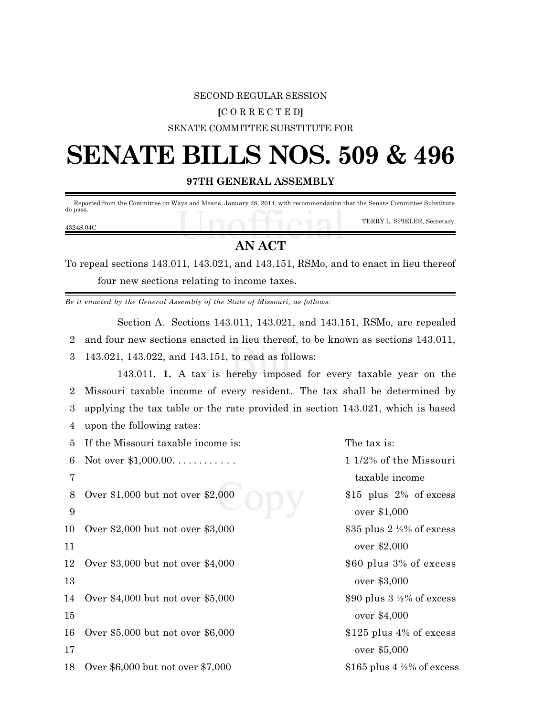#### SECOND REGULAR SESSION

### **[**C O R R E C T E D**]**

#### SENATE COMMITTEE SUBSTITUTE FOR

# **SENATE BILLS NOS. 509 & 496**

**97TH GENERAL ASSEMBLY**

 Reported from the Committee on Ways and Means, January 28, 2014, with recommendation that the Senate Committee Substitute do pass.

4324S.04C

TERRY L. SPIELER, Secretary.

## **AN ACT**

To repeal sections 143.011, 143.021, and 143.151, RSMo, and to enact in lieu thereof four new sections relating to income taxes.

*Be it enacted by the General Assembly of the State of Missouri, as follows:*

Section A. Sections 143.011, 143.021, and 143.151, RSMo, are repealed 2 and four new sections enacted in lieu thereof, to be known as sections 143.011, 3 143.021, 143.022, and 143.151, to read as follows:

143.011. **1.** A tax is hereby imposed for every taxable year on the Missouri taxable income of every resident. The tax shall be determined by applying the tax table or the rate provided in section 143.021, which is based upon the following rates:

5 If the Missouri taxable income is: The tax is: 6 Not over \$1,000.00. . . . . . . . . . . . 1 1/2% of the Missouri 7 taxable income 8 Over \$1,000 but not over \$2,000 \$15 plus 2% of excess 9 over \$1,000 10 Over \$2,000 but not over \$3,000  $\frac{$35}{4}$  \$35 plus 2 ½% of excess 11 over \$2,000 12 Over \$3,000 but not over \$4,000 \$60 plus 3% of excess 13 over \$3,000 14 Over \$4,000 but not over \$5,000 \$90 plus 3  $\frac{1}{2}$  \$90 plus 3  $\frac{1}{2}$ % of excess 15 over \$4,000 16 Over \$5,000 but not over \$6,000 \$125 plus 4% of excess 17 over \$5,000 18 Over \$6,000 but not over \$7,000 \$165 plus 4 ½% of excess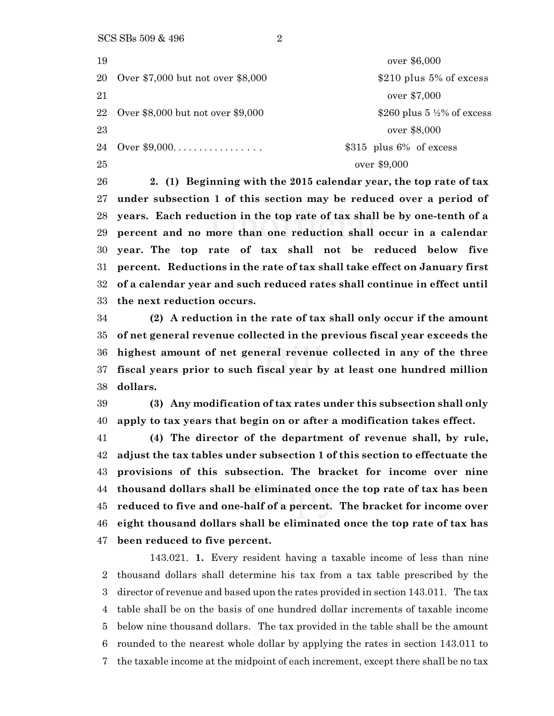over \$6,000 20 Over \$7,000 but not over \$8,000 \$210 plus 5% of excess over \$7,000 22 Over \$8,000 but not over \$9,000 \$260 plus 5  $\frac{1}{2}$  6 excess over \$8,000 Over \$9,000. . . . . . . . . . . . . . . . . \$315 plus 6% of excess over \$9,000

 **2. (1) Beginning with the 2015 calendar year, the top rate of tax under subsection 1 of this section may be reduced over a period of years. Each reduction in the top rate of tax shall be by one-tenth of a percent and no more than one reduction shall occur in a calendar year. The top rate of tax shall not be reduced below five percent. Reductions in the rate of tax shall take effect on January first of a calendar year and such reduced rates shall continue in effect until the next reduction occurs.**

 **(2) A reduction in the rate of tax shall only occur if the amount of net general revenue collected in the previous fiscal year exceeds the highest amount of net general revenue collected in any of the three fiscal years prior to such fiscal year by at least one hundred million dollars.**

 **(3) Any modification of tax rates under this subsection shall only apply to tax years that begin on or after a modification takes effect.**

 **(4) The director of the department of revenue shall, by rule, adjust the tax tables under subsection 1 of this section to effectuate the provisions of this subsection. The bracket for income over nine thousand dollars shall be eliminated once the top rate of tax has been reduced to five and one-half of a percent. The bracket for income over eight thousand dollars shall be eliminated once the top rate of tax has been reduced to five percent.**

143.021. **1.** Every resident having a taxable income of less than nine thousand dollars shall determine his tax from a tax table prescribed by the director of revenue and based upon the rates provided in section 143.011. The tax table shall be on the basis of one hundred dollar increments of taxable income below nine thousand dollars. The tax provided in the table shall be the amount rounded to the nearest whole dollar by applying the rates in section 143.011 to the taxable income at the midpoint of each increment, except there shall be no tax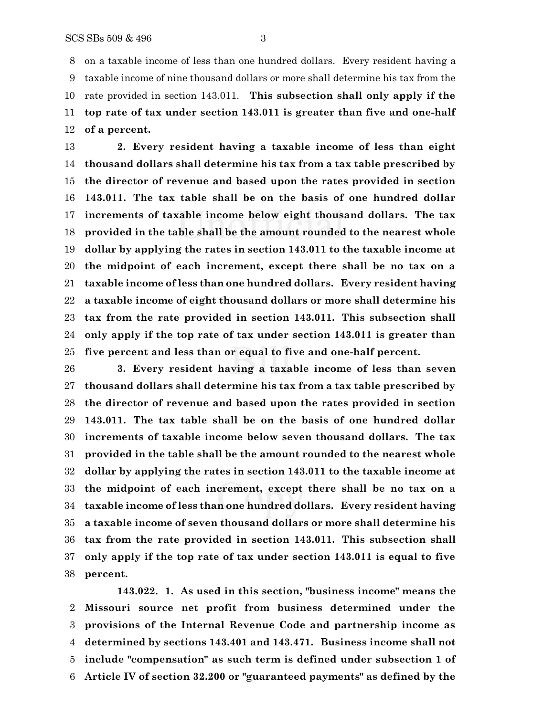on a taxable income of less than one hundred dollars. Every resident having a taxable income of nine thousand dollars or more shall determine his tax from the rate provided in section 143.011. **This subsection shall only apply if the top rate of tax under section 143.011 is greater than five and one-half of a percent.**

 **2. Every resident having a taxable income of less than eight thousand dollars shall determine his tax from a tax table prescribed by the director of revenue and based upon the rates provided in section 143.011. The tax table shall be on the basis of one hundred dollar increments of taxable income below eight thousand dollars. The tax provided in the table shall be the amount rounded to the nearest whole dollar by applying the rates in section 143.011 to the taxable income at the midpoint of each increment, except there shall be no tax on a taxable income of less than one hundred dollars. Every resident having a taxable income of eight thousand dollars or more shall determine his tax from the rate provided in section 143.011. This subsection shall only apply if the top rate of tax under section 143.011 is greater than five percent and less than or equal to five and one-half percent.**

 **3. Every resident having a taxable income of less than seven thousand dollars shall determine his tax from a tax table prescribed by the director of revenue and based upon the rates provided in section 143.011. The tax table shall be on the basis of one hundred dollar increments of taxable income below seven thousand dollars. The tax provided in the table shall be the amount rounded to the nearest whole dollar by applying the rates in section 143.011 to the taxable income at the midpoint of each increment, except there shall be no tax on a taxable income of less than one hundred dollars. Every resident having a taxable income of seven thousand dollars or more shall determine his tax from the rate provided in section 143.011. This subsection shall only apply if the top rate of tax under section 143.011 is equal to five percent.**

**143.022. 1. As used in this section, "business income" means the Missouri source net profit from business determined under the provisions of the Internal Revenue Code and partnership income as determined by sections 143.401 and 143.471. Business income shall not include "compensation" as such term is defined under subsection 1 of Article IV of section 32.200 or "guaranteed payments" as defined by the**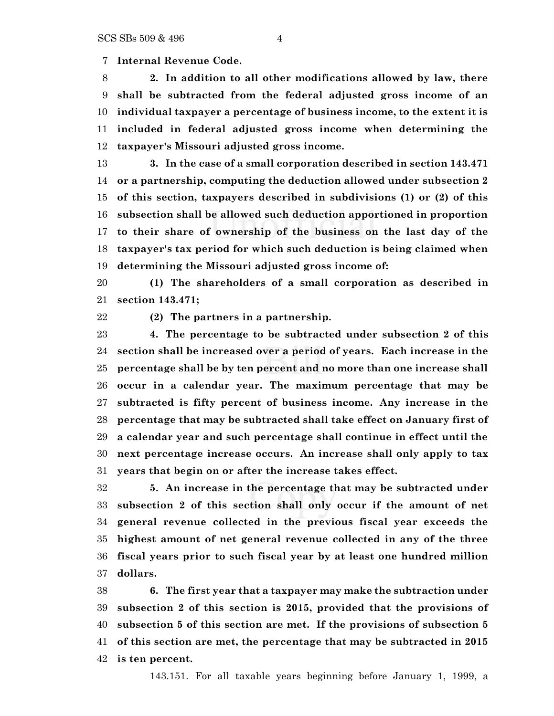**Internal Revenue Code.**

 **2. In addition to all other modifications allowed by law, there shall be subtracted from the federal adjusted gross income of an individual taxpayer a percentage of business income, to the extent it is included in federal adjusted gross income when determining the taxpayer's Missouri adjusted gross income.**

 **3. In the case of a small corporation described in section 143.471 or a partnership, computing the deduction allowed under subsection 2 of this section, taxpayers described in subdivisions (1) or (2) of this subsection shall be allowed such deduction apportioned in proportion to their share of ownership of the business on the last day of the taxpayer's tax period for which such deduction is being claimed when determining the Missouri adjusted gross income of:**

 **(1) The shareholders of a small corporation as described in section 143.471;**

**(2) The partners in a partnership.**

 **4. The percentage to be subtracted under subsection 2 of this section shall be increased over a period of years. Each increase in the percentage shall be by ten percent and no more than one increase shall occur in a calendar year. The maximum percentage that may be subtracted is fifty percent of business income. Any increase in the percentage that may be subtracted shall take effect on January first of a calendar year and such percentage shall continue in effect until the next percentage increase occurs. An increase shall only apply to tax years that begin on or after the increase takes effect.**

 **5. An increase in the percentage that may be subtracted under subsection 2 of this section shall only occur if the amount of net general revenue collected in the previous fiscal year exceeds the highest amount of net general revenue collected in any of the three fiscal years prior to such fiscal year by at least one hundred million dollars.**

 **6. The first year that a taxpayer may make the subtraction under subsection 2 of this section is 2015, provided that the provisions of subsection 5 of this section are met. If the provisions of subsection 5 of this section are met, the percentage that may be subtracted in 2015 is ten percent.**

143.151. For all taxable years beginning before January 1, 1999, a